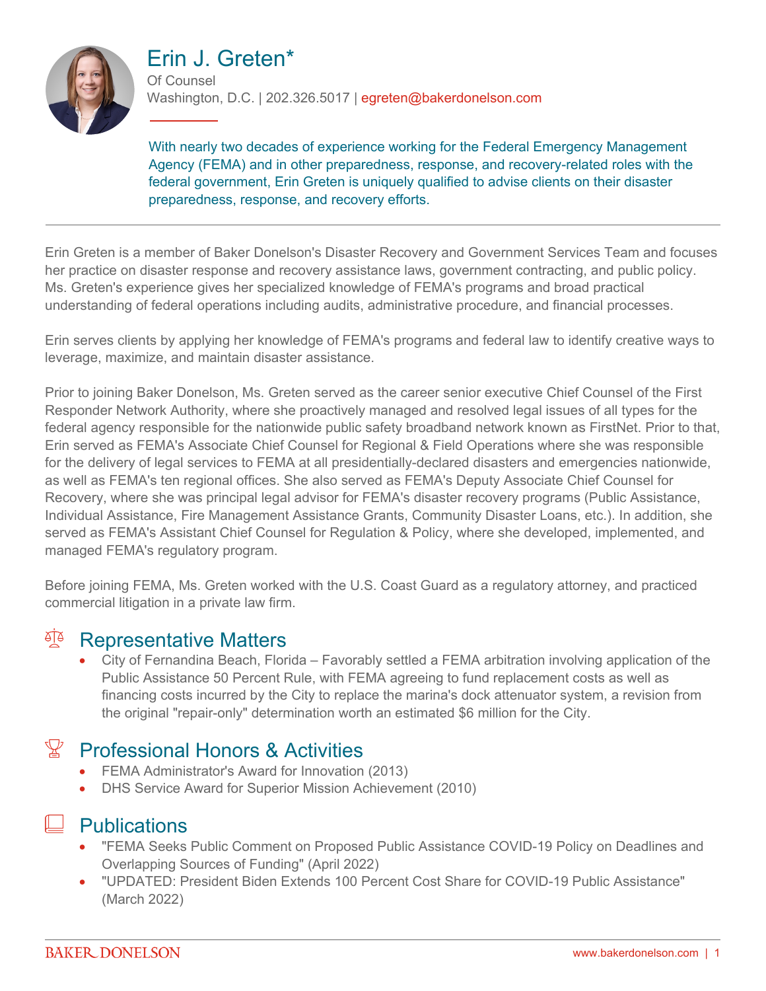

# Erin J. Greten\*

Of Counsel Washington, D.C. | 202.326.5017 | egreten@bakerdonelson.com

With nearly two decades of experience working for the Federal Emergency Management Agency (FEMA) and in other preparedness, response, and recovery-related roles with the federal government, Erin Greten is uniquely qualified to advise clients on their disaster preparedness, response, and recovery efforts.

Erin Greten is a member of Baker Donelson's Disaster Recovery and Government Services Team and focuses her practice on disaster response and recovery assistance laws, government contracting, and public policy. Ms. Greten's experience gives her specialized knowledge of FEMA's programs and broad practical understanding of federal operations including audits, administrative procedure, and financial processes.

Erin serves clients by applying her knowledge of FEMA's programs and federal law to identify creative ways to leverage, maximize, and maintain disaster assistance.

Prior to joining Baker Donelson, Ms. Greten served as the career senior executive Chief Counsel of the First Responder Network Authority, where she proactively managed and resolved legal issues of all types for the federal agency responsible for the nationwide public safety broadband network known as FirstNet. Prior to that, Erin served as FEMA's Associate Chief Counsel for Regional & Field Operations where she was responsible for the delivery of legal services to FEMA at all presidentially-declared disasters and emergencies nationwide, as well as FEMA's ten regional offices. She also served as FEMA's Deputy Associate Chief Counsel for Recovery, where she was principal legal advisor for FEMA's disaster recovery programs (Public Assistance, Individual Assistance, Fire Management Assistance Grants, Community Disaster Loans, etc.). In addition, she served as FEMA's Assistant Chief Counsel for Regulation & Policy, where she developed, implemented, and managed FEMA's regulatory program.

Before joining FEMA, Ms. Greten worked with the U.S. Coast Guard as a regulatory attorney, and practiced commercial litigation in a private law firm.

### <sup>T</sup> Representative Matters

 City of Fernandina Beach, Florida – Favorably settled a FEMA arbitration involving application of the Public Assistance 50 Percent Rule, with FEMA agreeing to fund replacement costs as well as financing costs incurred by the City to replace the marina's dock attenuator system, a revision from the original "repair-only" determination worth an estimated \$6 million for the City.

# Professional Honors & Activities

- **•** FEMA Administrator's Award for Innovation (2013)
- DHS Service Award for Superior Mission Achievement (2010)

### **Publications**

- "FEMA Seeks Public Comment on Proposed Public Assistance COVID-19 Policy on Deadlines and Overlapping Sources of Funding" (April 2022)
- "UPDATED: President Biden Extends 100 Percent Cost Share for COVID-19 Public Assistance" (March 2022)